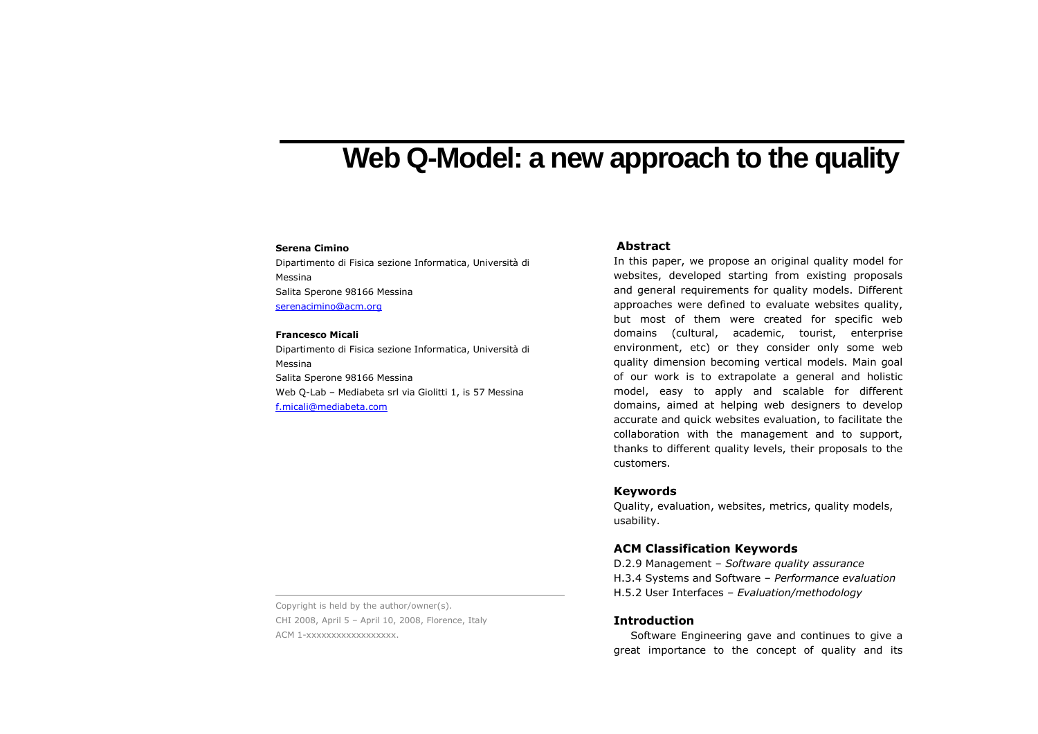# **Web Q-Model: a new approach to the quality**

#### **Serena Cimino**

Dipartimento di Fisica sezione Informatica, Università di Messina Salita Sperone 98166 Messina serenacimino@acm.org

#### **Francesco Micali**

Dipartimento di Fisica sezione Informatica, Università di Messina Salita Sperone 98166 Messina Web Q-Lab – Mediabeta srl via Giolitti 1, is 57 Messina f.micali@mediabeta.com

## **Abstract**

In this paper, we propose an original quality model for websites, developed starting from existing proposals and general requirements for quality models. Different approaches were defined to evaluate websites quality, but most of them were created for specific web domains (cultural, academic, tourist, enterprise environment, etc) or they consider only some web quality dimension becoming vertical models. Main goal of our work is to extrapolate a general and holistic model, easy to apply and scalable for different domains, aimed at helping web designers to develop accurate and quick websites evaluation, to facilitate the collaboration with the management and to support, thanks to different quality levels, their proposals to the customers.

## **Keywords**

Quality, evaluation, websites, metrics, quality models, usability.

## **ACM Classification Keywords**

D.2.9 Management – *Software quality assurance* H.3.4 Systems and Software – *Performance evaluation* H.5.2 User Interfaces – *Evaluation/methodology* 

## **Introduction**

Software Engineering gave and continues to give a great importance to the concept of quality and its

Copyright is held by the author/owner(s). CHI 2008, April 5 – April 10, 2008, Florence, ItalyACM 1-xxxxxxxxxxxxxxxxxx.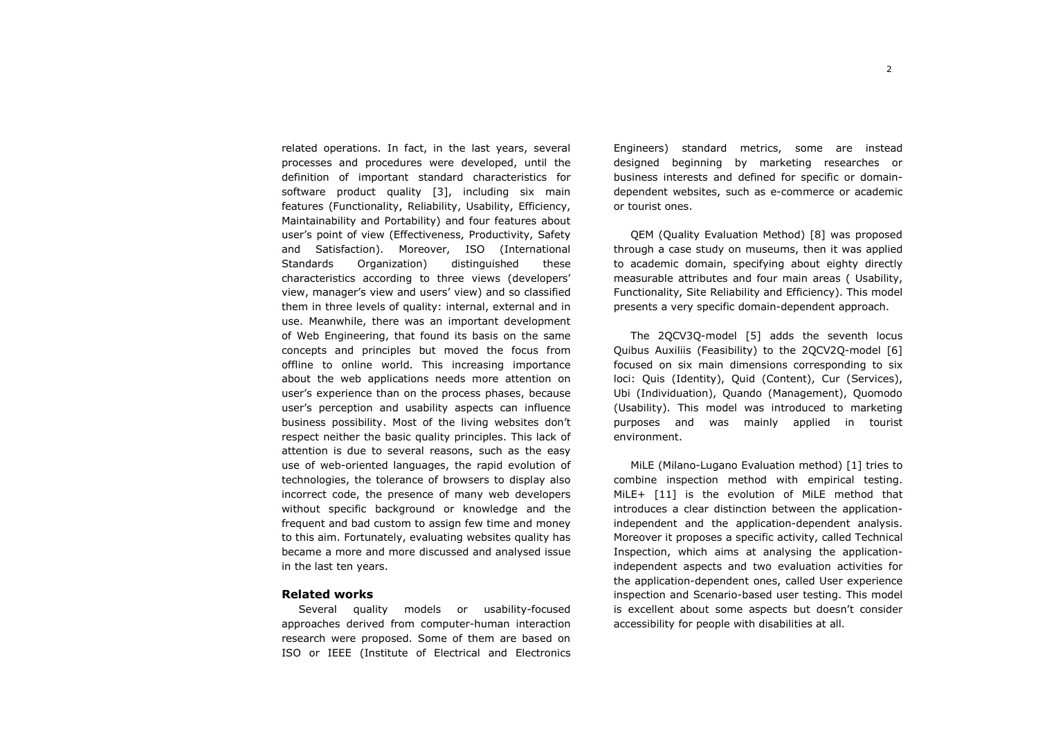related operations. In fact, in the last years, several processes and procedures were developed, until the definition of important standard characteristics for software product quality [3], including six main features (Functionality, Reliability, Usability, Efficiency, Maintainability and Portability) and four features about user's point of view (Effectiveness, Productivity, Safety and Satisfaction). Moreover, ISO (International Standards Organization) distinguished these characteristics according to three views (developers' view, manager's view and users' view) and so classified them in three levels of quality: internal, external and in use. Meanwhile, there was an important development of Web Engineering, that found its basis on the same concepts and principles but moved the focus from offline to online world. This increasing importance about the web applications needs more attention on user's experience than on the process phases, because user's perception and usability aspects can influence business possibility. Most of the living websites don't respect neither the basic quality principles. This lack of attention is due to several reasons, such as the easy use of web-oriented languages, the rapid evolution of technologies, the tolerance of browsers to display also incorrect code, the presence of many web developers without specific background or knowledge and the frequent and bad custom to assign few time and money to this aim. Fortunately, evaluating websites quality has became a more and more discussed and analysed issuein the last ten years.

## **Related works**

 Several quality models or usability-focused approaches derived from computer-human interaction research were proposed. Some of them are based on ISO or IEEE (Institute of Electrical and Electronics

Engineers) standard metrics, some are instead designed beginning by marketing researches or business interests and defined for specific or domaindependent websites, such as e-commerce or academic or tourist ones.

QEM (Quality Evaluation Method) [8] was proposed through a case study on museums, then it was applied to academic domain, specifying about eighty directly measurable attributes and four main areas ( Usability, Functionality, Site Reliability and Efficiency). This model presents a very specific domain-dependent approach.

The 2QCV3Q-model [5] adds the seventh locus Quibus Auxiliis (Feasibility) to the 2QCV2Q-model [6] focused on six main dimensions corresponding to six loci: Quis (Identity), Quid (Content), Cur (Services), Ubi (Individuation), Quando (Management), Quomodo (Usability). This model was introduced to marketing purposes and was mainly applied in tourist environment.

MiLE (Milano-Lugano Evaluation method) [1] tries to combine inspection method with empirical testing. MiLE+ [11] is the evolution of MiLE method that introduces a clear distinction between the applicationindependent and the application-dependent analysis. Moreover it proposes a specific activity, called Technical Inspection, which aims at analysing the application independent aspects and two evaluation activities for the application-dependent ones, called User experience inspection and Scenario-based user testing. This model is excellent about some aspects but doesn't consider accessibility for people with disabilities at all.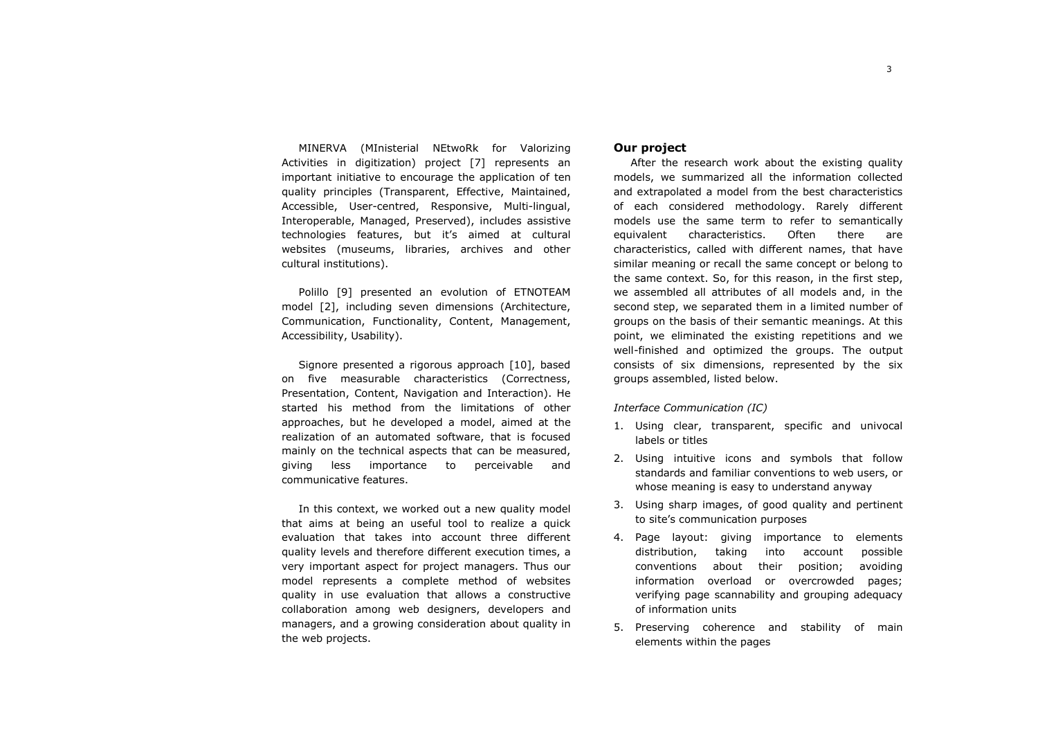MINERVA (MInisterial NEtwoRk for Valorizing Activities in digitization) project [7] represents an important initiative to encourage the application of ten quality principles (Transparent, Effective, Maintained, Accessible, User-centred, Responsive, Multi-lingual, Interoperable, Managed, Preserved), includes assistive technologies features, but it's aimed at cultural websites (museums, libraries, archives and other cultural institutions).

Polillo [9] presented an evolution of ETNOTEAM model [2], including seven dimensions (Architecture, Communication, Functionality, Content, Management, Accessibility, Usability).

Signore presented a rigorous approach [10], based on five measurable characteristics (Correctness, Presentation, Content, Navigation and Interaction). He started his method from the limitations of other approaches, but he developed a model, aimed at the realization of an automated software, that is focused mainly on the technical aspects that can be measured, giving less importance to perceivable and communicative features.

In this context, we worked out a new quality model that aims at being an useful tool to realize a quick evaluation that takes into account three different quality levels and therefore different execution times, a very important aspect for project managers. Thus our model represents a complete method of websites quality in use evaluation that allows a constructive collaboration among web designers, developers and managers, and a growing consideration about quality in the web projects.

# **Our project**

After the research work about the existing quality models, we summarized all the information collected and extrapolated a model from the best characteristics of each considered methodology. Rarely different models use the same term to refer to semantically equivalent characteristics. Often there are characteristics, called with different names, that have similar meaning or recall the same concept or belong to the same context. So, for this reason, in the first step, we assembled all attributes of all models and, in the second step, we separated them in a limited number of groups on the basis of their semantic meanings. At this point, we eliminated the existing repetitions and we well-finished and optimized the groups. The output consists of six dimensions, represented by the six groups assembled, listed below.

## *Interface Communication (IC)*

- 1. Using clear, transparent, specific and univocal labels or titles
- 2. Using intuitive icons and symbols that follow standards and familiar conventions to web users, orwhose meaning is easy to understand anyway
- 3. Using sharp images, of good quality and pertinent to site's communication purposes
- 4. Page layout: giving importance to elements distribution, taking into account possible conventions about their position; avoiding information overload or overcrowded pages; verifying page scannability and grouping adequacy of information units
- 5. Preserving coherence and stability of main elements within the pages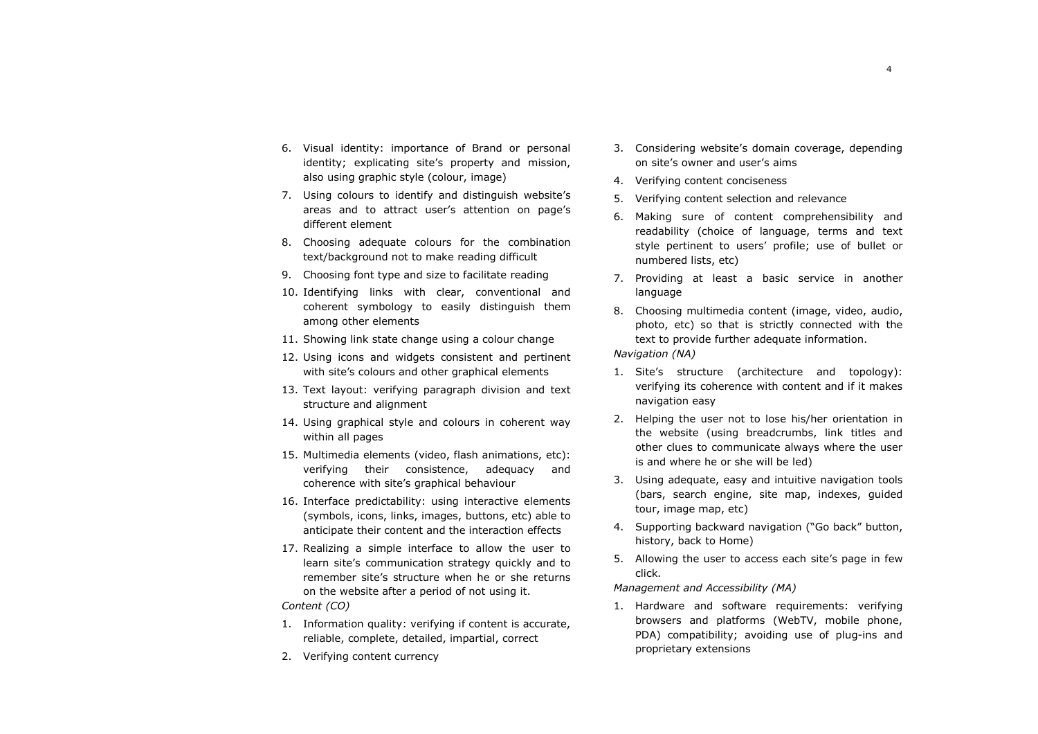- 6. Visual identity: importance of Brand or personal identity; explicating site's property and mission, also using graphic style (colour, image)
- 7. Using colours to identify and distinguish website's areas and to attract user's attention on page's different element
- 8. Choosing adequate colours for the combination text/background not to make reading difficult
- 9. Choosing font type and size to facilitate reading
- 10. Identifying links with clear, conventional and coherent symbology to easily distinguish them among other elements
- 11. Showing link state change using a colour change
- 12. Using icons and widgets consistent and pertinent with site's colours and other graphical elements
- 13. Text layout: verifying paragraph division and text structure and alignment
- 14. Using graphical style and colours in coherent way within all pages
- 15. Multimedia elements (video, flash animations, etc):verifying their consistence, adequacy and coherence with site's graphical behaviour
- 16. Interface predictability: using interactive elements (symbols, icons, links, images, buttons, etc) able to anticipate their content and the interaction effects
- 17. Realizing a simple interface to allow the user to learn site's communication strategy quickly and to remember site's structure when he or she returns on the website after a period of not using it.

## *Content (CO)*

- 1. Information quality: verifying if content is accurate, reliable, complete, detailed, impartial, correct
- 2. Verifying content currency
- 3. Considering website's domain coverage, depending on site's owner and user's aims
- 4. Verifying content conciseness
- 5. Verifying content selection and relevance
- 6. Making sure of content comprehensibility and readability (choice of language, terms and text style pertinent to users' profile; use of bullet ornumbered lists, etc)
- 7. Providing at least a basic service in another language
- 8. Choosing multimedia content (image, video, audio, photo, etc) so that is strictly connected with the text to provide further adequate information.

*Navigation (NA)* 

- 1. Site's structure (architecture and topology): verifying its coherence with content and if it makes navigation easy
- 2. Helping the user not to lose his/her orientation in the website (using breadcrumbs, link titles and other clues to communicate always where the user is and where he or she will be led)
- 3. Using adequate, easy and intuitive navigation tools (bars, search engine, site map, indexes, guided tour, image map, etc)
- 4. Supporting backward navigation ("Go back" button, history, back to Home)
- 5. Allowing the user to access each site's page in fewclick.

## *Management and Accessibility (MA)*

1. Hardware and software requirements: verifying browsers and platforms (WebTV, mobile phone, PDA) compatibility; avoiding use of plug-ins and proprietary extensions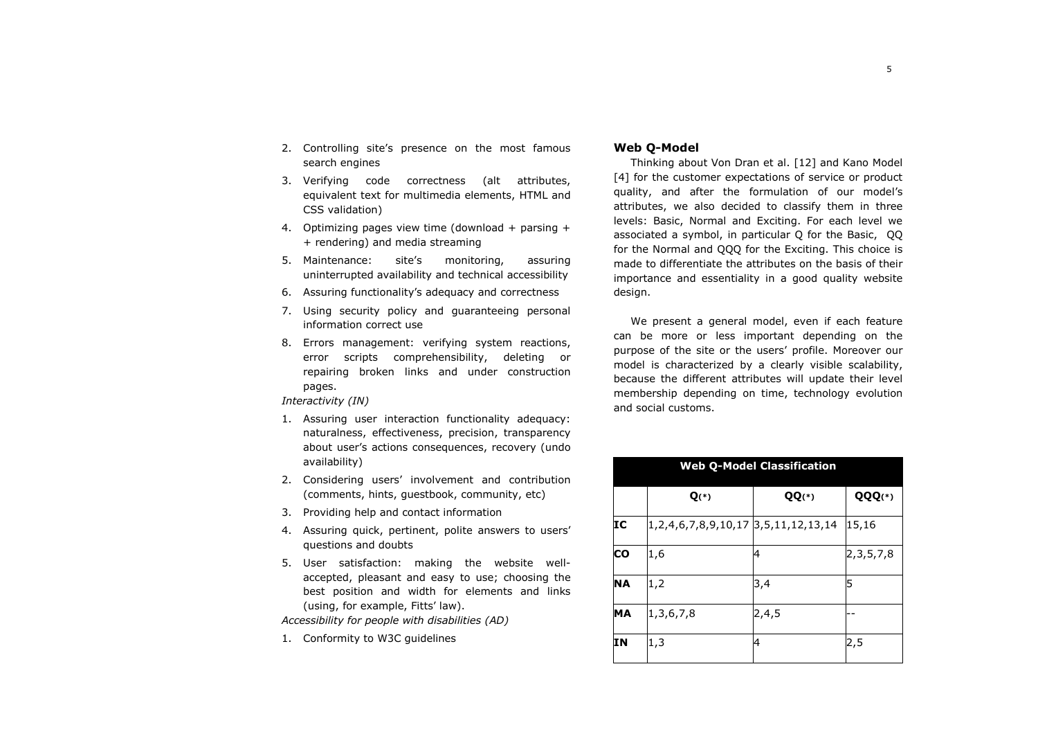- 2. Controlling site's presence on the most famous search engines
- 3. Verifying code correctness (alt attributes, equivalent text for multimedia elements, HTML and CSS validation)
- 4. Optimizing pages view time (download + parsing + + rendering) and media streaming
- 5. Maintenance: site's monitoring, assuring uninterrupted availability and technical accessibility
- 6. Assuring functionality's adequacy and correctness
- 7. Using security policy and guaranteeing personal information correct use
- 8. Errors management: verifying system reactions, error scripts comprehensibility, deleting or repairing broken links and under construction pages.

*Interactivity (IN)* 

- 1. Assuring user interaction functionality adequacy: naturalness, effectiveness, precision, transparency about user's actions consequences, recovery (undo availability)
- 2. Considering users' involvement and contribution (comments, hints, guestbook, community, etc)
- 3. Providing help and contact information
- 4. Assuring quick, pertinent, polite answers to users' questions and doubts
- 5. User satisfaction: making the website wellaccepted, pleasant and easy to use; choosing the best position and width for elements and links (using, for example, Fitts' law).

*Accessibility for people with disabilities (AD)* 

1. Conformity to W3C guidelines

# **Web Q-Model**

Thinking about Von Dran et al. [12] and Kano Model [4] for the customer expectations of service or product quality, and after the formulation of our model's attributes, we also decided to classify them in three levels: Basic, Normal and Exciting. For each level we associated a symbol, in particular Q for the Basic, QQ for the Normal and QQQ for the Exciting. This choice is made to differentiate the attributes on the basis of their importance and essentiality in a good quality website design.

We present a general model, even if each feature can be more or less important depending on the purpose of the site or the users' profile. Moreover our model is characterized by a clearly visible scalability, because the different attributes will update their level membership depending on time, technology evolution and social customs.

| <b>Web Q-Model Classification</b> |                                                  |         |               |
|-----------------------------------|--------------------------------------------------|---------|---------------|
|                                   | $Q(*)$                                           | $QQ(*)$ | QQQ(*)        |
| IC                                | 1, 2, 4, 6, 7, 8, 9, 10, 17 3, 5, 11, 12, 13, 14 |         | 15,16         |
| $\overline{\mathsf{co}}$          | 1,6                                              | 4       | 2, 3, 5, 7, 8 |
| <b>NA</b>                         | 1,2                                              | 3,4     | 5             |
| MA                                | 1,3,6,7,8                                        | 2,4,5   |               |
| <b>IN</b>                         | 1,3                                              | 4       | 2,5           |